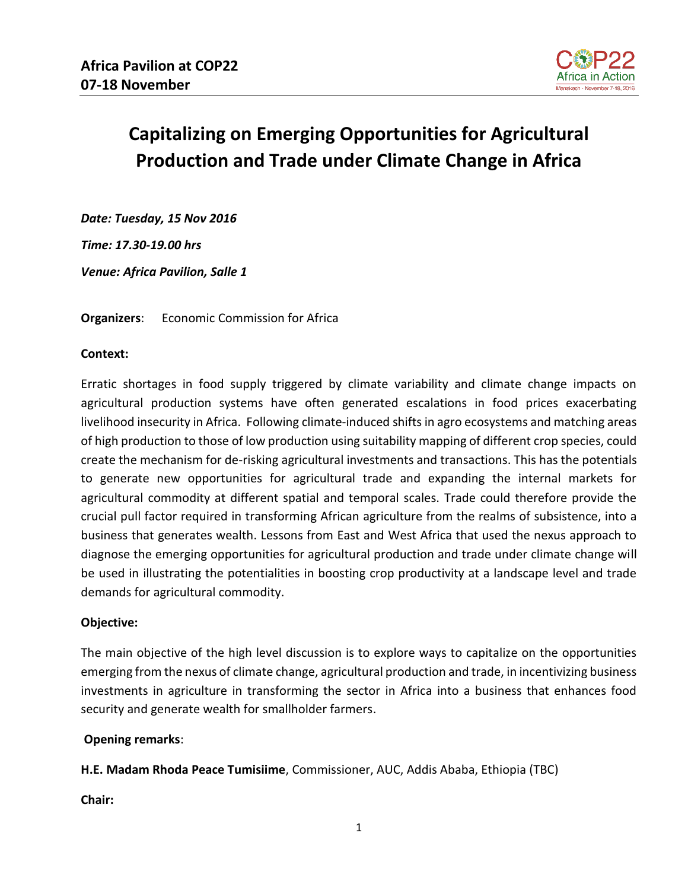

# **Capitalizing on Emerging Opportunities for Agricultural Production and Trade under Climate Change in Africa**

*Date: Tuesday, 15 Nov 2016 Time: 17.30-19.00 hrs Venue: Africa Pavilion, Salle 1*

**Organizers:** Economic Commission for Africa

#### **Context:**

Erratic shortages in food supply triggered by climate variability and climate change impacts on agricultural production systems have often generated escalations in food prices exacerbating livelihood insecurity in Africa. Following climate-induced shifts in agro ecosystems and matching areas of high production to those of low production using suitability mapping of different crop species, could create the mechanism for de-risking agricultural investments and transactions. This has the potentials to generate new opportunities for agricultural trade and expanding the internal markets for agricultural commodity at different spatial and temporal scales. Trade could therefore provide the crucial pull factor required in transforming African agriculture from the realms of subsistence, into a business that generates wealth. Lessons from East and West Africa that used the nexus approach to diagnose the emerging opportunities for agricultural production and trade under climate change will be used in illustrating the potentialities in boosting crop productivity at a landscape level and trade demands for agricultural commodity.

#### **Objective:**

The main objective of the high level discussion is to explore ways to capitalize on the opportunities emerging from the nexus of climate change, agricultural production and trade, in incentivizing business investments in agriculture in transforming the sector in Africa into a business that enhances food security and generate wealth for smallholder farmers.

#### **Opening remarks**:

**H.E. Madam Rhoda Peace Tumisiime**, Commissioner, AUC, Addis Ababa, Ethiopia (TBC)

**Chair:**